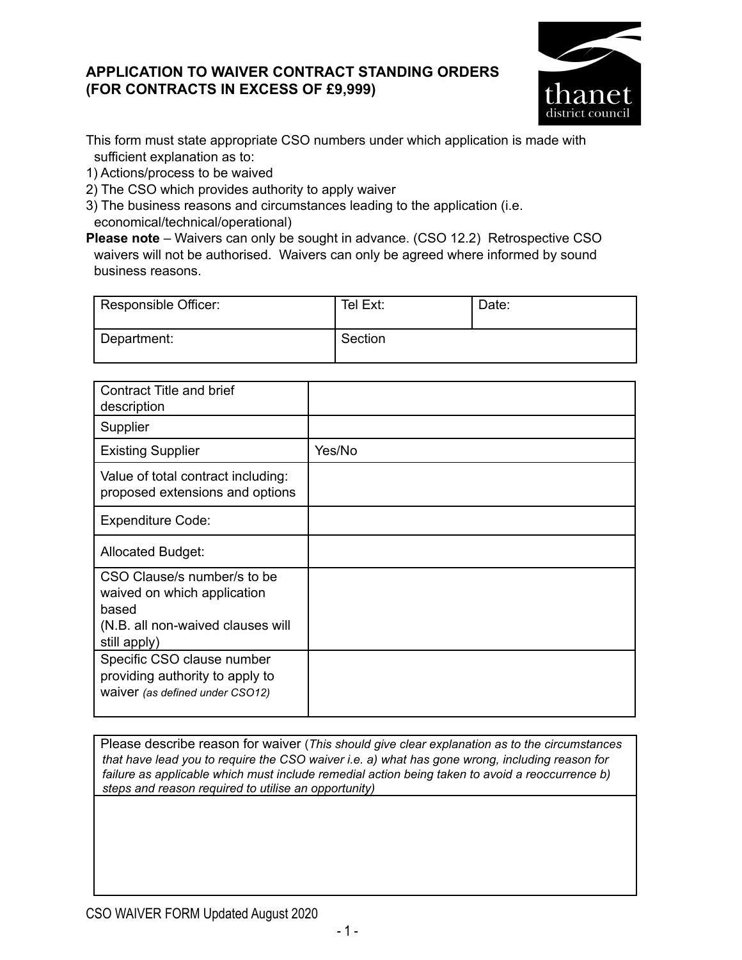## **APPLICATION TO WAIVER CONTRACT STANDING ORDERS (FOR CONTRACTS IN EXCESS OF £9,999)**



This form must state appropriate CSO numbers under which application is made with sufficient explanation as to:

1) Actions/process to be waived

2) The CSO which provides authority to apply waiver

3) The business reasons and circumstances leading to the application (i.e. economical/technical/operational)

**Please note** – Waivers can only be sought in advance. (CSO 12.2) Retrospective CSO waivers will not be authorised. Waivers can only be agreed where informed by sound business reasons.

| Responsible Officer: | Tel Ext: | Date: |
|----------------------|----------|-------|
| Department:          | Section  |       |

| <b>Contract Title and brief</b><br>description                                                                           |        |
|--------------------------------------------------------------------------------------------------------------------------|--------|
| Supplier                                                                                                                 |        |
| <b>Existing Supplier</b>                                                                                                 | Yes/No |
| Value of total contract including:<br>proposed extensions and options                                                    |        |
| <b>Expenditure Code:</b>                                                                                                 |        |
| <b>Allocated Budget:</b>                                                                                                 |        |
| CSO Clause/s number/s to be<br>waived on which application<br>based<br>(N.B. all non-waived clauses will<br>still apply) |        |
| Specific CSO clause number<br>providing authority to apply to<br>waiver (as defined under CSO12)                         |        |

Please describe reason for waiver (*This should give clear explanation as to the circumstances that have lead you to require the CSO waiver i.e. a) what has gone wrong, including reason for failure as applicable which must include remedial action being taken to avoid a reoccurrence b) steps and reason required to utilise an opportunity)*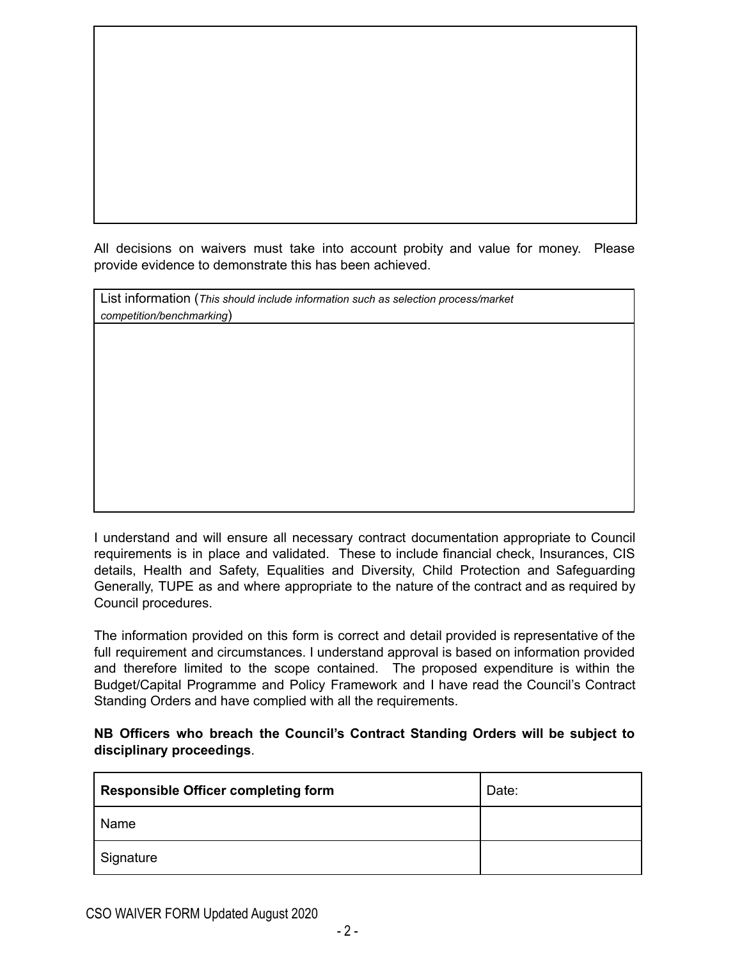All decisions on waivers must take into account probity and value for money. Please provide evidence to demonstrate this has been achieved.

| List information (This should include information such as selection process/market |
|------------------------------------------------------------------------------------|
| competition/benchmarking)                                                          |

I understand and will ensure all necessary contract documentation appropriate to Council requirements is in place and validated. These to include financial check, Insurances, CIS details, Health and Safety, Equalities and Diversity, Child Protection and Safeguarding Generally, TUPE as and where appropriate to the nature of the contract and as required by Council procedures.

The information provided on this form is correct and detail provided is representative of the full requirement and circumstances. I understand approval is based on information provided and therefore limited to the scope contained. The proposed expenditure is within the Budget/Capital Programme and Policy Framework and I have read the Council's Contract Standing Orders and have complied with all the requirements.

## **NB Officers who breach the Council's Contract Standing Orders will be subject to disciplinary proceedings**.

| <b>Responsible Officer completing form</b> | Date: |
|--------------------------------------------|-------|
| Name                                       |       |
| Signature                                  |       |